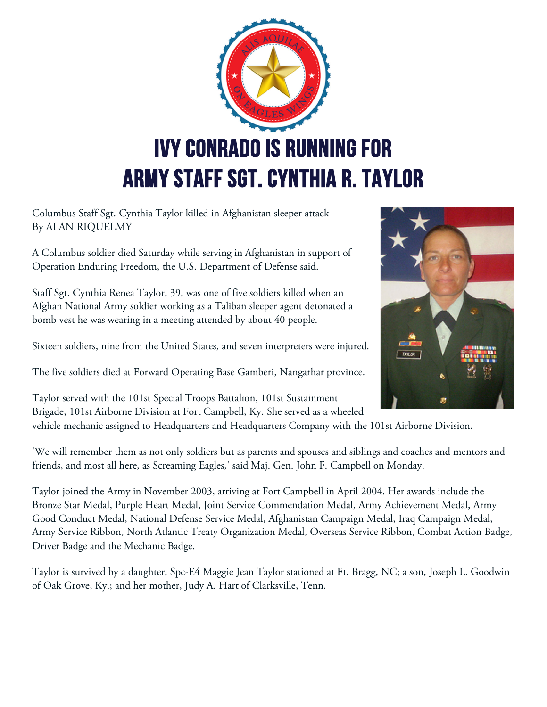

Columbus Staff Sgt. Cynthia Taylor killed in Afghanistan sleeper attack By ALAN RIQUELMY

A Columbus soldier died Saturday while serving in Afghanistan in support of Operation Enduring Freedom, the U.S. Department of Defense said.

Staff Sgt. Cynthia Renea Taylor, 39, was one of five soldiers killed when an Afghan National Army soldier working as a Taliban sleeper agent detonated a bomb vest he was wearing in a meeting attended by about 40 people.

Sixteen soldiers, nine from the United States, and seven interpreters were injured.

The five soldiers died at Forward Operating Base Gamberi, Nangarhar province.

Taylor served with the 101st Special Troops Battalion, 101st Sustainment Brigade, 101st Airborne Division at Fort Campbell, Ky. She served as a wheeled

vehicle mechanic assigned to Headquarters and Headquarters Company with the 101st Airborne Division.

'We will remember them as not only soldiers but as parents and spouses and siblings and coaches and mentors and friends, and most all here, as Screaming Eagles,' said Maj. Gen. John F. Campbell on Monday.

Taylor joined the Army in November 2003, arriving at Fort Campbell in April 2004. Her awards include the Bronze Star Medal, Purple Heart Medal, Joint Service Commendation Medal, Army Achievement Medal, Army Good Conduct Medal, National Defense Service Medal, Afghanistan Campaign Medal, Iraq Campaign Medal, Army Service Ribbon, North Atlantic Treaty Organization Medal, Overseas Service Ribbon, Combat Action Badge, Driver Badge and the Mechanic Badge.

Taylor is survived by a daughter, Spc-E4 Maggie Jean Taylor stationed at Ft. Bragg, NC; a son, Joseph L. Goodwin of Oak Grove, Ky.; and her mother, Judy A. Hart of Clarksville, Tenn.